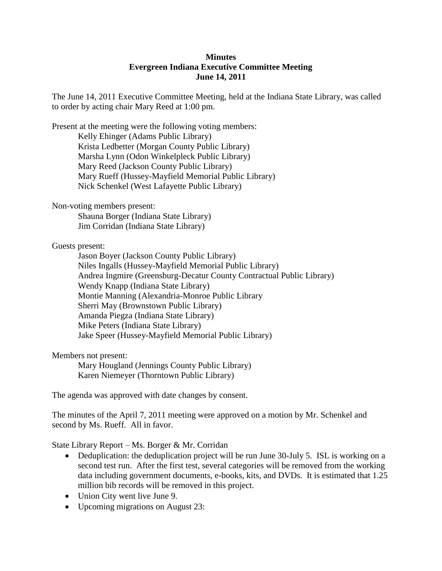## **Minutes Evergreen Indiana Executive Committee Meeting June 14, 2011**

The June 14, 2011 Executive Committee Meeting, held at the Indiana State Library, was called to order by acting chair Mary Reed at 1:00 pm.

Present at the meeting were the following voting members: Kelly Ehinger (Adams Public Library) Krista Ledbetter (Morgan County Public Library) Marsha Lynn (Odon Winkelpleck Public Library) Mary Reed (Jackson County Public Library) Mary Rueff (Hussey-Mayfield Memorial Public Library) Nick Schenkel (West Lafayette Public Library)

Non-voting members present:

Shauna Borger (Indiana State Library) Jim Corridan (Indiana State Library)

Guests present:

Jason Boyer (Jackson County Public Library) Niles Ingalls (Hussey-Mayfield Memorial Public Library) Andrea Ingmire (Greensburg-Decatur County Contractual Public Library) Wendy Knapp (Indiana State Library) Montie Manning (Alexandria-Monroe Public Library Sherri May (Brownstown Public Library) Amanda Piegza (Indiana State Library) Mike Peters (Indiana State Library) Jake Speer (Hussey-Mayfield Memorial Public Library)

Members not present:

Mary Hougland (Jennings County Public Library) Karen Niemeyer (Thorntown Public Library)

The agenda was approved with date changes by consent.

The minutes of the April 7, 2011 meeting were approved on a motion by Mr. Schenkel and second by Ms. Rueff. All in favor.

State Library Report – Ms. Borger & Mr. Corridan

- Deduplication: the deduplication project will be run June 30-July 5. ISL is working on a second test run. After the first test, several categories will be removed from the working data including government documents, e-books, kits, and DVDs. It is estimated that 1.25 million bib records will be removed in this project.
- Union City went live June 9.
- Upcoming migrations on August 23: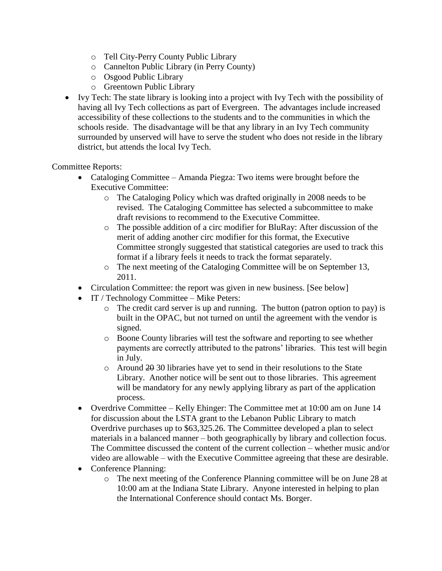- o Tell City-Perry County Public Library
- o Cannelton Public Library (in Perry County)
- o Osgood Public Library
- o Greentown Public Library
- Ivy Tech: The state library is looking into a project with Ivy Tech with the possibility of having all Ivy Tech collections as part of Evergreen. The advantages include increased accessibility of these collections to the students and to the communities in which the schools reside. The disadvantage will be that any library in an Ivy Tech community surrounded by unserved will have to serve the student who does not reside in the library district, but attends the local Ivy Tech.

## Committee Reports:

- Cataloging Committee Amanda Piegza: Two items were brought before the Executive Committee:
	- o The Cataloging Policy which was drafted originally in 2008 needs to be revised. The Cataloging Committee has selected a subcommittee to make draft revisions to recommend to the Executive Committee.
	- o The possible addition of a circ modifier for BluRay: After discussion of the merit of adding another circ modifier for this format, the Executive Committee strongly suggested that statistical categories are used to track this format if a library feels it needs to track the format separately.
	- o The next meeting of the Cataloging Committee will be on September 13, 2011.
- Circulation Committee: the report was given in new business. [See below]
- IT / Technology Committee Mike Peters:
	- o The credit card server is up and running. The button (patron option to pay) is built in the OPAC, but not turned on until the agreement with the vendor is signed.
	- o Boone County libraries will test the software and reporting to see whether payments are correctly attributed to the patrons' libraries. This test will begin in July.
	- o Around 20 30 libraries have yet to send in their resolutions to the State Library. Another notice will be sent out to those libraries. This agreement will be mandatory for any newly applying library as part of the application process.
- Overdrive Committee Kelly Ehinger: The Committee met at 10:00 am on June 14 for discussion about the LSTA grant to the Lebanon Public Library to match Overdrive purchases up to \$63,325.26. The Committee developed a plan to select materials in a balanced manner – both geographically by library and collection focus. The Committee discussed the content of the current collection – whether music and/or video are allowable – with the Executive Committee agreeing that these are desirable.
- Conference Planning:
	- o The next meeting of the Conference Planning committee will be on June 28 at 10:00 am at the Indiana State Library. Anyone interested in helping to plan the International Conference should contact Ms. Borger.